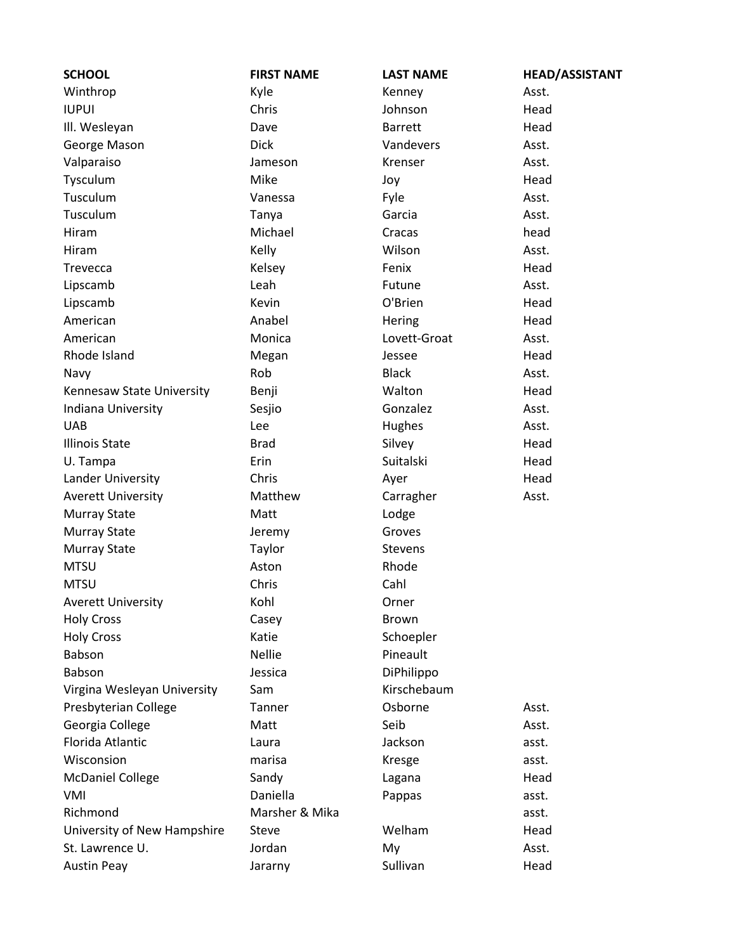| <b>SCHOOL</b>               | <b>FIRST NAME</b> | <b>LAST NAME</b> | <b>HEAD/ASSISTANT</b> |
|-----------------------------|-------------------|------------------|-----------------------|
| Winthrop                    | Kyle              | Kenney           | Asst.                 |
| <b>IUPUI</b>                | Chris             | Johnson          | Head                  |
| III. Wesleyan               | Dave              | <b>Barrett</b>   | Head                  |
| George Mason                | <b>Dick</b>       | Vandevers        | Asst.                 |
| Valparaiso                  | Jameson           | Krenser          | Asst.                 |
| Tysculum                    | Mike              | Joy              | Head                  |
| Tusculum                    | Vanessa           | Fyle             | Asst.                 |
| Tusculum                    | Tanya             | Garcia           | Asst.                 |
| Hiram                       | Michael           | Cracas           | head                  |
| Hiram                       | Kelly             | Wilson           | Asst.                 |
| Trevecca                    | Kelsey            | Fenix            | Head                  |
| Lipscamb                    | Leah              | Futune           | Asst.                 |
| Lipscamb                    | Kevin             | O'Brien          | Head                  |
| American                    | Anabel            | Hering           | Head                  |
| American                    | Monica            | Lovett-Groat     | Asst.                 |
| Rhode Island                | Megan             | Jessee           | Head                  |
| Navy                        | Rob               | <b>Black</b>     | Asst.                 |
| Kennesaw State University   | Benji             | Walton           | Head                  |
| Indiana University          | Sesjio            | Gonzalez         | Asst.                 |
| <b>UAB</b>                  | Lee               | Hughes           | Asst.                 |
| <b>Illinois State</b>       | <b>Brad</b>       | Silvey           | Head                  |
| U. Tampa                    | Erin              | Suitalski        | Head                  |
| Lander University           | Chris             | Ayer             | Head                  |
| <b>Averett University</b>   | Matthew           | Carragher        | Asst.                 |
| <b>Murray State</b>         | Matt              | Lodge            |                       |
| <b>Murray State</b>         | Jeremy            | Groves           |                       |
| <b>Murray State</b>         | Taylor            | <b>Stevens</b>   |                       |
| <b>MTSU</b>                 | Aston             | Rhode            |                       |
| <b>MTSU</b>                 | Chris             | Cahl             |                       |
| <b>Averett University</b>   | Kohl              | Orner            |                       |
| <b>Holy Cross</b>           | Casey             | Brown            |                       |
| <b>Holy Cross</b>           | Katie             | Schoepler        |                       |
| Babson                      | <b>Nellie</b>     | Pineault         |                       |
| Babson                      | Jessica           | DiPhilippo       |                       |
| Virgina Wesleyan University | Sam               | Kirschebaum      |                       |
| Presbyterian College        | Tanner            | Osborne          | Asst.                 |
| Georgia College             | Matt              | Seib             | Asst.                 |
| Florida Atlantic            | Laura             | Jackson          | asst.                 |
| Wisconsion                  | marisa            | Kresge           | asst.                 |
| <b>McDaniel College</b>     | Sandy             | Lagana           | Head                  |
| VMI                         | Daniella          | Pappas           | asst.                 |
| Richmond                    | Marsher & Mika    |                  | asst.                 |
| University of New Hampshire | <b>Steve</b>      | Welham           | Head                  |
| St. Lawrence U.             | Jordan            | My               | Asst.                 |
| <b>Austin Peay</b>          | Jararny           | Sullivan         | Head                  |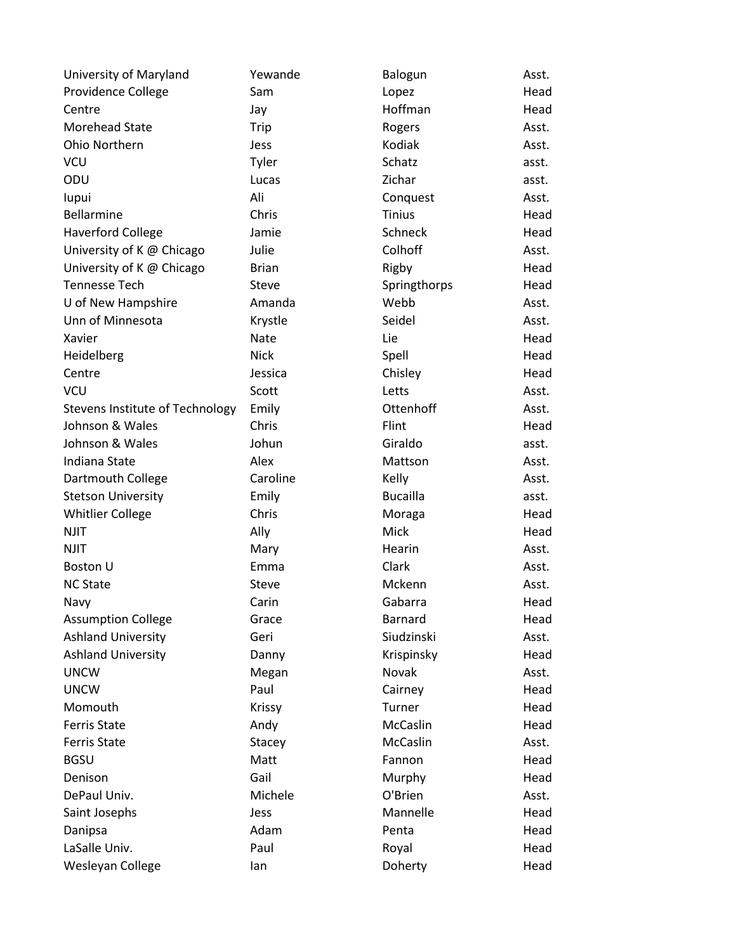| University of Maryland          | Yewande      | Balogun         | Asst. |
|---------------------------------|--------------|-----------------|-------|
| Providence College              | Sam          | Lopez           | Head  |
| Centre                          | Jay          | Hoffman         | Head  |
| <b>Morehead State</b>           | Trip         | Rogers          | Asst. |
| Ohio Northern                   | Jess         | Kodiak          | Asst. |
| <b>VCU</b>                      | Tyler        | Schatz          | asst. |
| ODU                             | Lucas        | Zichar          | asst. |
| lupui                           | Ali          | Conquest        | Asst. |
| Bellarmine                      | Chris        | <b>Tinius</b>   | Head  |
| <b>Haverford College</b>        | Jamie        | Schneck         | Head  |
| University of K @ Chicago       | Julie        | Colhoff         | Asst. |
| University of K @ Chicago       | <b>Brian</b> | Rigby           | Head  |
| <b>Tennesse Tech</b>            | <b>Steve</b> | Springthorps    | Head  |
| U of New Hampshire              | Amanda       | Webb            | Asst. |
| Unn of Minnesota                | Krystle      | Seidel          | Asst. |
| Xavier                          | <b>Nate</b>  | Lie             | Head  |
| Heidelberg                      | <b>Nick</b>  | Spell           | Head  |
| Centre                          | Jessica      | Chisley         | Head  |
| <b>VCU</b>                      | Scott        | Letts           | Asst. |
| Stevens Institute of Technology | Emily        | Ottenhoff       | Asst. |
| Johnson & Wales                 | Chris        | Flint           | Head  |
| Johnson & Wales                 | Johun        | Giraldo         | asst. |
| Indiana State                   | Alex         | Mattson         | Asst. |
| Dartmouth College               | Caroline     | Kelly           | Asst. |
| <b>Stetson University</b>       | Emily        | <b>Bucailla</b> | asst. |
| <b>Whitlier College</b>         | Chris        | Moraga          | Head  |
| <b>NJIT</b>                     | Ally         | Mick            | Head  |
| <b>NJIT</b>                     | Mary         | Hearin          | Asst. |
| <b>Boston U</b>                 | Emma         | Clark           | Asst. |
| <b>NC State</b>                 | Steve        | Mckenn          | Asst. |
| Navy                            | Carin        | Gabarra         | Head  |
| <b>Assumption College</b>       | Grace        | Barnard         | Head  |
| <b>Ashland University</b>       | Geri         | Siudzinski      | Asst. |
| <b>Ashland University</b>       | Danny        | Krispinsky      | Head  |
| <b>UNCW</b>                     | Megan        | Novak           | Asst. |
| <b>UNCW</b>                     | Paul         | Cairney         | Head  |
| Momouth                         | Krissy       | Turner          | Head  |
| <b>Ferris State</b>             | Andy         | McCaslin        | Head  |
| <b>Ferris State</b>             | Stacey       | McCaslin        | Asst. |
| <b>BGSU</b>                     | Matt         | Fannon          | Head  |
| Denison                         | Gail         | Murphy          | Head  |
| DePaul Univ.                    | Michele      | O'Brien         | Asst. |
| Saint Josephs                   | Jess         | Mannelle        | Head  |
| Danipsa                         | Adam         | Penta           | Head  |
| LaSalle Univ.                   | Paul         | Royal           | Head  |
| Wesleyan College                | lan          | Doherty         | Head  |
|                                 |              |                 |       |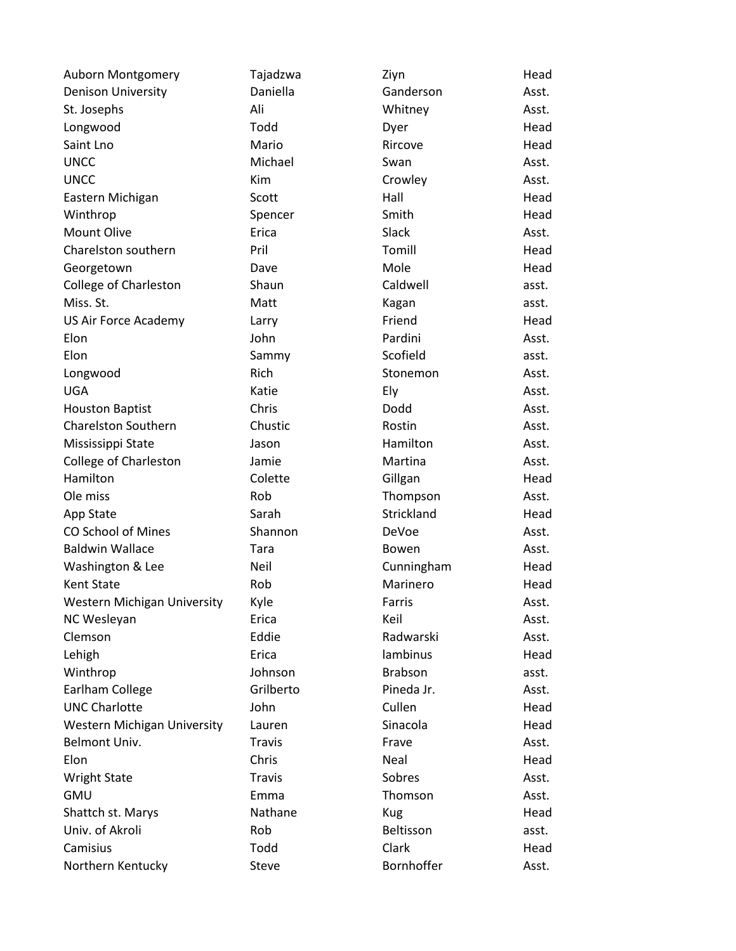| Auborn Montgomery                  | Tajadzwa      | Ziyn           | Head  |
|------------------------------------|---------------|----------------|-------|
| <b>Denison University</b>          | Daniella      | Ganderson      | Asst. |
| St. Josephs                        | Ali           | Whitney        | Asst. |
| Longwood                           | Todd          | Dyer           | Head  |
| Saint Lno                          | Mario         | Rircove        | Head  |
| <b>UNCC</b>                        | Michael       | Swan           | Asst. |
| <b>UNCC</b>                        | Kim           | Crowley        | Asst. |
| Eastern Michigan                   | Scott         | Hall           | Head  |
| Winthrop                           | Spencer       | Smith          | Head  |
| Mount Olive                        | Erica         | Slack          | Asst. |
| Charelston southern                | Pril          | Tomill         | Head  |
| Georgetown                         | Dave          | Mole           | Head  |
| College of Charleston              | Shaun         | Caldwell       | asst. |
| Miss. St.                          | Matt          | Kagan          | asst. |
| US Air Force Academy               | Larry         | Friend         | Head  |
| Elon                               | John          | Pardini        | Asst. |
| Elon                               | Sammy         | Scofield       | asst. |
| Longwood                           | Rich          | Stonemon       | Asst. |
| <b>UGA</b>                         | Katie         | Ely            | Asst. |
| <b>Houston Baptist</b>             | Chris         | Dodd           | Asst. |
| <b>Charelston Southern</b>         | Chustic       | Rostin         | Asst. |
| Mississippi State                  | Jason         | Hamilton       | Asst. |
| <b>College of Charleston</b>       | Jamie         | Martina        | Asst. |
| Hamilton                           | Colette       | Gillgan        | Head  |
| Ole miss                           | Rob           | Thompson       | Asst. |
| App State                          | Sarah         | Strickland     | Head  |
| <b>CO School of Mines</b>          | Shannon       | DeVoe          | Asst. |
| <b>Baldwin Wallace</b>             | Tara          | Bowen          | Asst. |
| Washington & Lee                   | Neil          | Cunningham     | Head  |
| Kent State                         | Rob           | Marinero       | Head  |
| <b>Western Michigan University</b> | Kyle          | Farris         | Asst. |
| NC Wesleyan                        | Erica         | Keil           | Asst. |
| Clemson                            | Eddie         | Radwarski      | Asst. |
| Lehigh                             | Erica         | lambinus       | Head  |
| Winthrop                           | Johnson       | <b>Brabson</b> | asst. |
| Earlham College                    | Grilberto     | Pineda Jr.     | Asst. |
| <b>UNC Charlotte</b>               | John          | Cullen         | Head  |
| <b>Western Michigan University</b> | Lauren        | Sinacola       | Head  |
| <b>Belmont Univ.</b>               | <b>Travis</b> | Frave          | Asst. |
| Elon                               | Chris         | Neal           | Head  |
| <b>Wright State</b>                | <b>Travis</b> | Sobres         | Asst. |
| <b>GMU</b>                         | Emma          | Thomson        | Asst. |
| Shattch st. Marys                  | Nathane       | <b>Kug</b>     | Head  |
| Univ. of Akroli                    | Rob           | Beltisson      | asst. |
| Camisius                           | Todd          | Clark          | Head  |
| Northern Kentucky                  | <b>Steve</b>  | Bornhoffer     | Asst. |
|                                    |               |                |       |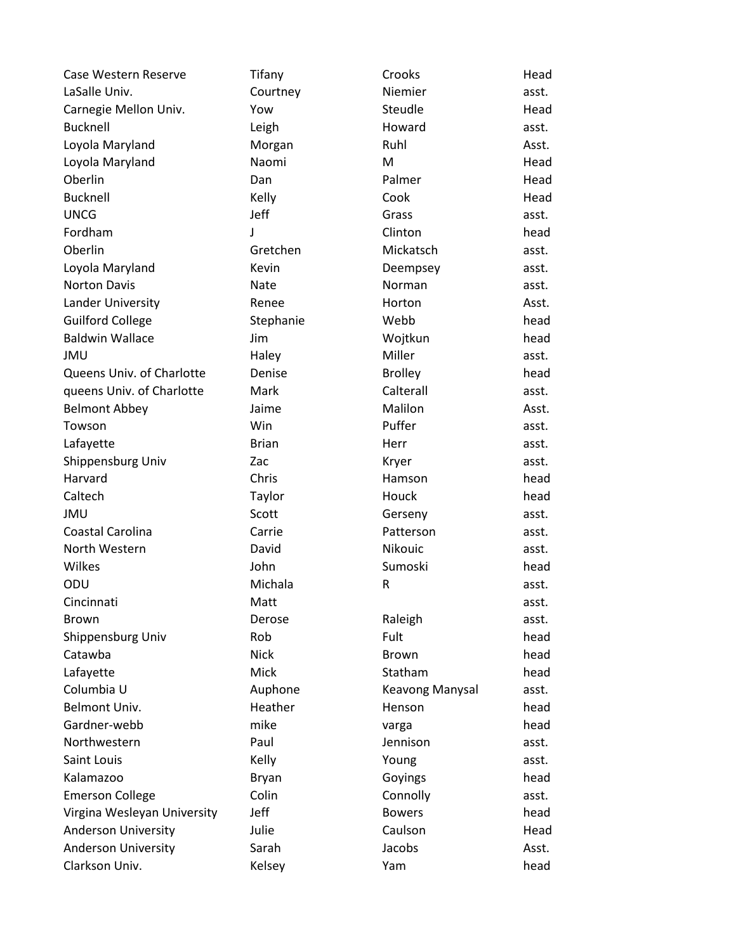| Case Western Reserve        | Tifany       | Crooks               | Head  |
|-----------------------------|--------------|----------------------|-------|
| LaSalle Univ.               | Courtney     | Niemier              | asst. |
| Carnegie Mellon Univ.       | Yow          | Steudle              | Head  |
| <b>Bucknell</b>             | Leigh        | Howard               | asst. |
| Loyola Maryland             | Morgan       | Ruhl                 | Asst. |
| Loyola Maryland             | Naomi        | M                    | Head  |
| Oberlin                     | Dan          | Palmer               | Head  |
| <b>Bucknell</b>             | Kelly        | Cook                 | Head  |
| <b>UNCG</b>                 | Jeff         | Grass                | asst. |
| Fordham                     | J            | Clinton              | head  |
| Oberlin                     | Gretchen     | Mickatsch            | asst. |
| Loyola Maryland             | Kevin        | Deempsey             | asst. |
| <b>Norton Davis</b>         | Nate         | Norman               | asst. |
| Lander University           | Renee        | Horton               | Asst. |
| <b>Guilford College</b>     | Stephanie    | Webb                 | head  |
| <b>Baldwin Wallace</b>      | Jim          | Wojtkun              | head  |
| JMU                         | Haley        | Miller               | asst. |
| Queens Univ. of Charlotte   | Denise       | <b>Brolley</b>       | head  |
| queens Univ. of Charlotte   | Mark         | Calterall            | asst. |
| <b>Belmont Abbey</b>        | Jaime        | Malilon              | Asst. |
| Towson                      | Win          | Puffer               | asst. |
| Lafayette                   | <b>Brian</b> | Herr                 | asst. |
| Shippensburg Univ           | Zac          | Kryer                | asst. |
| Harvard                     | Chris        | Hamson               | head  |
| Caltech                     | Taylor       | Houck                | head  |
| <b>JMU</b>                  | Scott        |                      | asst. |
| Coastal Carolina            | Carrie       | Gerseny<br>Patterson |       |
| North Western               | David        | Nikouic              | asst. |
|                             |              |                      | asst. |
| Wilkes                      | John         | Sumoski              | head  |
| ODU                         | Michala      | R                    | asst. |
| Cincinnati                  | Matt         |                      | asst. |
| <b>Brown</b>                | Derose       | Raleigh              | asst. |
| Shippensburg Univ           | Rob          | Fult                 | head  |
| Catawba                     | <b>Nick</b>  | Brown                | head  |
| Lafayette                   | <b>Mick</b>  | Statham              | head  |
| Columbia U                  | Auphone      | Keavong Manysal      | asst. |
| Belmont Univ.               | Heather      | Henson               | head  |
| Gardner-webb                | mike         | varga                | head  |
| Northwestern                | Paul         | Jennison             | asst. |
| Saint Louis                 | Kelly        | Young                | asst. |
| Kalamazoo                   | Bryan        | Goyings              | head  |
| <b>Emerson College</b>      | Colin        | Connolly             | asst. |
| Virgina Wesleyan University | Jeff         | <b>Bowers</b>        | head  |
| <b>Anderson University</b>  | Julie        | Caulson              | Head  |
| <b>Anderson University</b>  | Sarah        | Jacobs               | Asst. |
| Clarkson Univ.              | Kelsey       | Yam                  | head  |